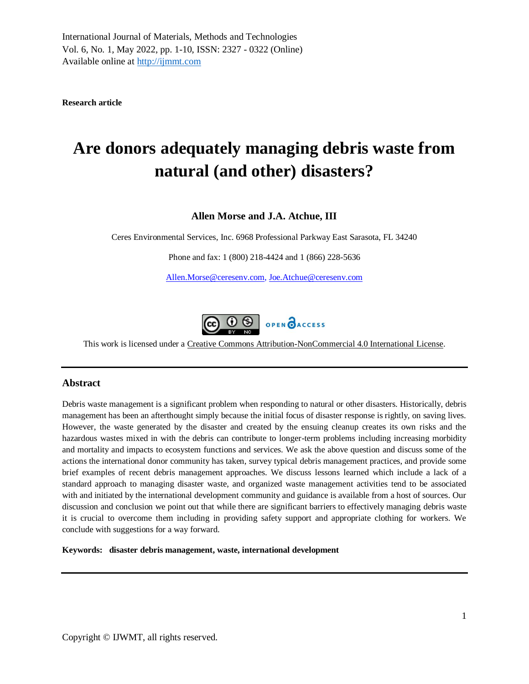**Research article**

# **Are donors adequately managing debris waste from natural (and other) disasters?**

# **Allen Morse and J.A. Atchue, III**

Ceres Environmental Services, Inc. 6968 Professional Parkway East Sarasota, FL 34240

Phone and fax: 1 (800) 218-4424 and 1 (866) 228-5636

[Allen.Morse@ceresenv.com,](mailto:Allen.Morse@ceresenv.com) [Joe.Atchue@ceresenv.com](mailto:Joe.Atchue@ceresenvironmental.com)



This work is licensed under a [Creative Commons Attribution-NonCommercial 4.0 International License.](http://creativecommons.org/licenses/by-nc/4.0/)

# **Abstract**

Debris waste management is a significant problem when responding to natural or other disasters. Historically, debris management has been an afterthought simply because the initial focus of disaster response is rightly, on saving lives. However, the waste generated by the disaster and created by the ensuing cleanup creates its own risks and the hazardous wastes mixed in with the debris can contribute to longer-term problems including increasing morbidity and mortality and impacts to ecosystem functions and services. We ask the above question and discuss some of the actions the international donor community has taken, survey typical debris management practices, and provide some brief examples of recent debris management approaches. We discuss lessons learned which include a lack of a standard approach to managing disaster waste, and organized waste management activities tend to be associated with and initiated by the international development community and guidance is available from a host of sources. Our discussion and conclusion we point out that while there are significant barriers to effectively managing debris waste it is crucial to overcome them including in providing safety support and appropriate clothing for workers. We conclude with suggestions for a way forward.

**Keywords: disaster debris management, waste, international development**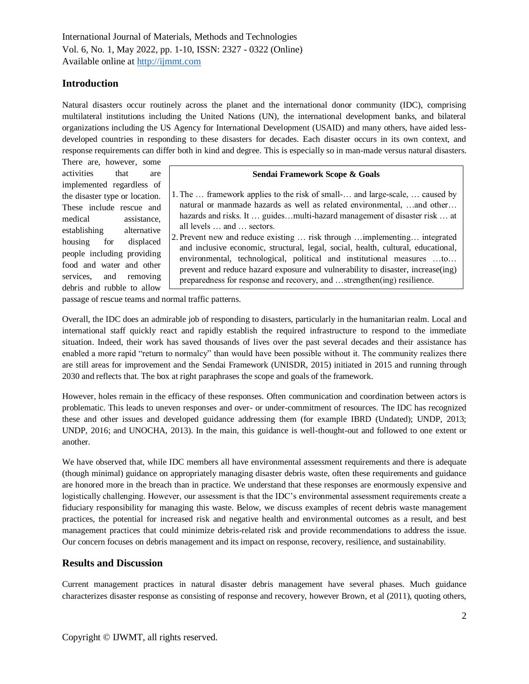# **Introduction**

Natural disasters occur routinely across the planet and the international donor community (IDC), comprising multilateral institutions including the United Nations (UN), the international development banks, and bilateral organizations including the US Agency for International Development (USAID) and many others, have aided lessdeveloped countries in responding to these disasters for decades. Each disaster occurs in its own context, and response requirements can differ both in kind and degree. This is especially so in man-made versus natural disasters.

There are, however, some activities that are implemented regardless of the disaster type or location. These include rescue and medical assistance, establishing alternative housing for displaced people including providing food and water and other services, and removing debris and rubble to allow

#### **Sendai Framework Scope & Goals**

1. The … framework applies to the risk of small-… and large-scale, … caused by natural or manmade hazards as well as related environmental, …and other… hazards and risks. It ... guides...multi-hazard management of disaster risk ... at all levels … and … sectors.

2. Prevent new and reduce existing … risk through …implementing… integrated and inclusive economic, structural, legal, social, health, cultural, educational, environmental, technological, political and institutional measures …to… prevent and reduce hazard exposure and vulnerability to disaster, increase(ing) preparedness for response and recovery, and …strengthen(ing) resilience.

passage of rescue teams and normal traffic patterns.

Overall, the IDC does an admirable job of responding to disasters, particularly in the humanitarian realm. Local and international staff quickly react and rapidly establish the required infrastructure to respond to the immediate situation. Indeed, their work has saved thousands of lives over the past several decades and their assistance has enabled a more rapid "return to normalcy" than would have been possible without it. The community realizes there are still areas for improvement and the Sendai Framework (UNISDR, 2015) initiated in 2015 and running through 2030 and reflects that. The box at right paraphrases the scope and goals of the framework.

However, holes remain in the efficacy of these responses. Often communication and coordination between actors is problematic. This leads to uneven responses and over- or under-commitment of resources. The IDC has recognized these and other issues and developed guidance addressing them (for example IBRD (Undated); UNDP, 2013; UNDP, 2016; and UNOCHA, 2013). In the main, this guidance is well-thought-out and followed to one extent or another.

We have observed that, while IDC members all have environmental assessment requirements and there is adequate (though minimal) guidance on appropriately managing disaster debris waste, often these requirements and guidance are honored more in the breach than in practice. We understand that these responses are enormously expensive and logistically challenging. However, our assessment is that the IDC's environmental assessment requirements create a fiduciary responsibility for managing this waste. Below, we discuss examples of recent debris waste management practices, the potential for increased risk and negative health and environmental outcomes as a result, and best management practices that could minimize debris-related risk and provide recommendations to address the issue. Our concern focuses on debris management and its impact on response, recovery, resilience, and sustainability.

## **Results and Discussion**

Current management practices in natural disaster debris management have several phases. Much guidance characterizes disaster response as consisting of response and recovery, however Brown, et al (2011), quoting others,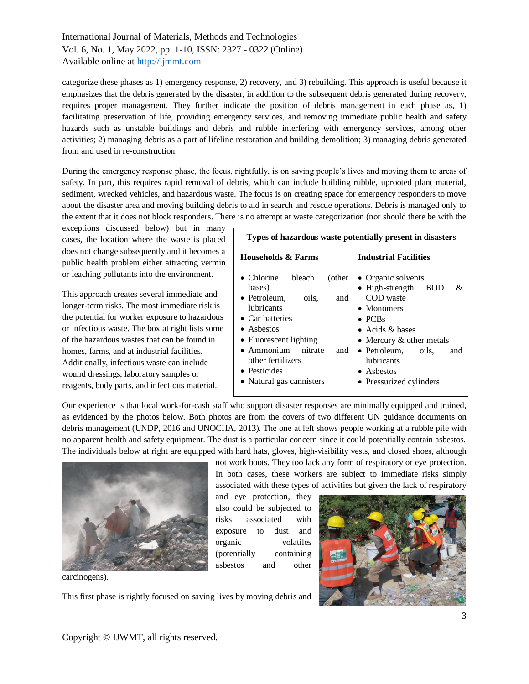categorize these phases as 1) emergency response, 2) recovery, and 3) rebuilding. This approach is useful because it emphasizes that the debris generated by the disaster, in addition to the subsequent debris generated during recovery, requires proper management. They further indicate the position of debris management in each phase as, 1) facilitating preservation of life, providing emergency services, and removing immediate public health and safety hazards such as unstable buildings and debris and rubble interfering with emergency services, among other activities; 2) managing debris as a part of lifeline restoration and building demolition; 3) managing debris generated from and used in re-construction.

During the emergency response phase, the focus, rightfully, is on saving people's lives and moving them to areas of safety. In part, this requires rapid removal of debris, which can include building rubble, uprooted plant material, sediment, wrecked vehicles, and hazardous waste. The focus is on creating space for emergency responders to move about the disaster area and moving building debris to aid in search and rescue operations. Debris is managed only to the extent that it does not block responders. There is no attempt at waste categorization (nor should there be with the

exceptions discussed below) but in many cases, the location where the waste is placed does not change subsequently and it becomes a public health problem either attracting vermin or leaching pollutants into the environment.

This approach creates several immediate and longer-term risks. The most immediate risk is the potential for worker exposure to hazardous or infectious waste. The box at right lists some of the hazardous wastes that can be found in homes, farms, and at industrial facilities. Additionally, infectious waste can include wound dressings, laboratory samples or reagents, body parts, and infectious material.

| Types of hazardous waste potentially present in disasters                                                                                                                                                                                                                                 |                                                                                                                                                                                                                                                                |
|-------------------------------------------------------------------------------------------------------------------------------------------------------------------------------------------------------------------------------------------------------------------------------------------|----------------------------------------------------------------------------------------------------------------------------------------------------------------------------------------------------------------------------------------------------------------|
| Households & Farms                                                                                                                                                                                                                                                                        | <b>Industrial Facilities</b>                                                                                                                                                                                                                                   |
| $\bullet$ Chlorine<br>bleach<br>(other<br>bases)<br>• Petroleum.<br>oils.<br>and<br><i>lubricants</i><br>$\bullet$ Car batteries<br>$\bullet$ Ashestos<br>• Fluorescent lighting<br>$\bullet$ Ammonium<br>nitrate<br>and<br>other fertilizers<br>• Pesticides<br>• Natural gas cannisters | • Organic solvents<br>$\bullet$ High-strength<br>&.<br><b>BOD</b><br>COD waste<br>$\bullet$ Monomers<br>$\bullet$ PCBs<br>• Acids $&$ bases<br>• Mercury $\&$ other metals<br>• Petroleum, oils,<br>and<br>lubricants<br>• Asbestos<br>• Pressurized cylinders |

Our experience is that local work-for-cash staff who support disaster responses are minimally equipped and trained, as evidenced by the photos below. Both photos are from the covers of two different UN guidance documents on debris management (UNDP, 2016 and UNOCHA, 2013). The one at left shows people working at a rubble pile with no apparent health and safety equipment. The dust is a particular concern since it could potentially contain asbestos. The individuals below at right are equipped with hard hats, gloves, high-visibility vests, and closed shoes, although



carcinogens).

not work boots. They too lack any form of respiratory or eye protection. In both cases, these workers are subject to immediate risks simply associated with these types of activities but given the lack of respiratory

and eye protection, they also could be subjected to risks associated with exposure to dust and organic volatiles (potentially containing asbestos and other



This first phase is rightly focused on saving lives by moving debris and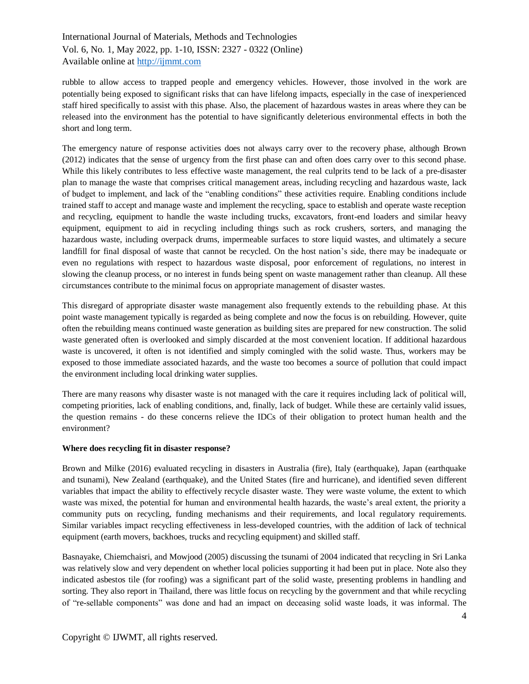rubble to allow access to trapped people and emergency vehicles. However, those involved in the work are potentially being exposed to significant risks that can have lifelong impacts, especially in the case of inexperienced staff hired specifically to assist with this phase. Also, the placement of hazardous wastes in areas where they can be released into the environment has the potential to have significantly deleterious environmental effects in both the short and long term.

The emergency nature of response activities does not always carry over to the recovery phase, although Brown (2012) indicates that the sense of urgency from the first phase can and often does carry over to this second phase. While this likely contributes to less effective waste management, the real culprits tend to be lack of a pre-disaster plan to manage the waste that comprises critical management areas, including recycling and hazardous waste, lack of budget to implement, and lack of the "enabling conditions" these activities require. Enabling conditions include trained staff to accept and manage waste and implement the recycling, space to establish and operate waste reception and recycling, equipment to handle the waste including trucks, excavators, front-end loaders and similar heavy equipment, equipment to aid in recycling including things such as rock crushers, sorters, and managing the hazardous waste, including overpack drums, impermeable surfaces to store liquid wastes, and ultimately a secure landfill for final disposal of waste that cannot be recycled. On the host nation's side, there may be inadequate or even no regulations with respect to hazardous waste disposal, poor enforcement of regulations, no interest in slowing the cleanup process, or no interest in funds being spent on waste management rather than cleanup. All these circumstances contribute to the minimal focus on appropriate management of disaster wastes.

This disregard of appropriate disaster waste management also frequently extends to the rebuilding phase. At this point waste management typically is regarded as being complete and now the focus is on rebuilding. However, quite often the rebuilding means continued waste generation as building sites are prepared for new construction. The solid waste generated often is overlooked and simply discarded at the most convenient location. If additional hazardous waste is uncovered, it often is not identified and simply comingled with the solid waste. Thus, workers may be exposed to those immediate associated hazards, and the waste too becomes a source of pollution that could impact the environment including local drinking water supplies.

There are many reasons why disaster waste is not managed with the care it requires including lack of political will, competing priorities, lack of enabling conditions, and, finally, lack of budget. While these are certainly valid issues, the question remains - do these concerns relieve the IDCs of their obligation to protect human health and the environment?

#### **Where does recycling fit in disaster response?**

Brown and Milke (2016) evaluated recycling in disasters in Australia (fire), Italy (earthquake), Japan (earthquake and tsunami), New Zealand (earthquake), and the United States (fire and hurricane), and identified seven different variables that impact the ability to effectively recycle disaster waste. They were waste volume, the extent to which waste was mixed, the potential for human and environmental health hazards, the waste's areal extent, the priority a community puts on recycling, funding mechanisms and their requirements, and local regulatory requirements. Similar variables impact recycling effectiveness in less-developed countries, with the addition of lack of technical equipment (earth movers, backhoes, trucks and recycling equipment) and skilled staff.

Basnayake, Chiemchaisri, and Mowjood (2005) discussing the tsunami of 2004 indicated that recycling in Sri Lanka was relatively slow and very dependent on whether local policies supporting it had been put in place. Note also they indicated asbestos tile (for roofing) was a significant part of the solid waste, presenting problems in handling and sorting. They also report in Thailand, there was little focus on recycling by the government and that while recycling of "re-sellable components" was done and had an impact on deceasing solid waste loads, it was informal. The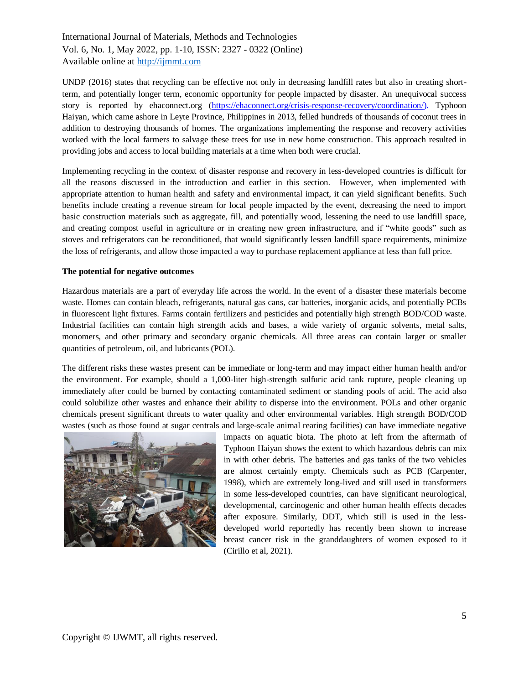UNDP (2016) states that recycling can be effective not only in decreasing landfill rates but also in creating shortterm, and potentially longer term, economic opportunity for people impacted by disaster. An unequivocal success story is reported by ehaconnect.org [\(https://ehaconnect.org/crisis-response-recovery/coordination/\)](https://ehaconnect.org/crisis-response-recovery/coordination/). Typhoon Haiyan, which came ashore in Leyte Province, Philippines in 2013, felled hundreds of thousands of coconut trees in addition to destroying thousands of homes. The organizations implementing the response and recovery activities worked with the local farmers to salvage these trees for use in new home construction. This approach resulted in providing jobs and access to local building materials at a time when both were crucial.

Implementing recycling in the context of disaster response and recovery in less-developed countries is difficult for all the reasons discussed in the introduction and earlier in this section. However, when implemented with appropriate attention to human health and safety and environmental impact, it can yield significant benefits. Such benefits include creating a revenue stream for local people impacted by the event, decreasing the need to import basic construction materials such as aggregate, fill, and potentially wood, lessening the need to use landfill space, and creating compost useful in agriculture or in creating new green infrastructure, and if "white goods" such as stoves and refrigerators can be reconditioned, that would significantly lessen landfill space requirements, minimize the loss of refrigerants, and allow those impacted a way to purchase replacement appliance at less than full price.

#### **The potential for negative outcomes**

Hazardous materials are a part of everyday life across the world. In the event of a disaster these materials become waste. Homes can contain bleach, refrigerants, natural gas cans, car batteries, inorganic acids, and potentially PCBs in fluorescent light fixtures. Farms contain fertilizers and pesticides and potentially high strength BOD/COD waste. Industrial facilities can contain high strength acids and bases, a wide variety of organic solvents, metal salts, monomers, and other primary and secondary organic chemicals. All three areas can contain larger or smaller quantities of petroleum, oil, and lubricants (POL).

The different risks these wastes present can be immediate or long-term and may impact either human health and/or the environment. For example, should a 1,000-liter high-strength sulfuric acid tank rupture, people cleaning up immediately after could be burned by contacting contaminated sediment or standing pools of acid. The acid also could solubilize other wastes and enhance their ability to disperse into the environment. POLs and other organic chemicals present significant threats to water quality and other environmental variables. High strength BOD/COD wastes (such as those found at sugar centrals and large-scale animal rearing facilities) can have immediate negative



impacts on aquatic biota. The photo at left from the aftermath of Typhoon Haiyan shows the extent to which hazardous debris can mix in with other debris. The batteries and gas tanks of the two vehicles are almost certainly empty. Chemicals such as PCB (Carpenter, 1998), which are extremely long-lived and still used in transformers in some less-developed countries, can have significant neurological, developmental, carcinogenic and other human health effects decades after exposure. Similarly, DDT, which still is used in the lessdeveloped world reportedly has recently been shown to increase breast cancer risk in the granddaughters of women exposed to it (Cirillo et al, 2021).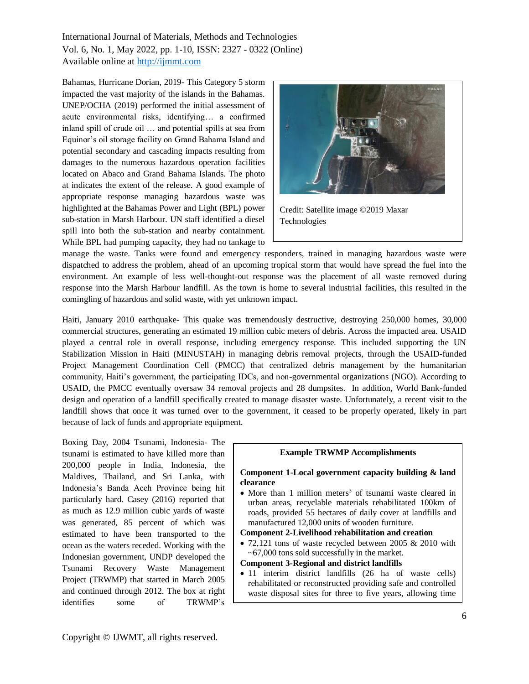Bahamas, Hurricane Dorian, 2019- This Category 5 storm impacted the vast majority of the islands in the Bahamas. UNEP/OCHA (2019) performed the initial assessment of acute environmental risks, identifying… a confirmed inland spill of crude oil … and potential spills at sea from Equinor's oil storage facility on Grand Bahama Island and potential secondary and cascading impacts resulting from damages to the numerous hazardous operation facilities located on Abaco and Grand Bahama Islands. The photo at indicates the extent of the release. A good example of appropriate response managing hazardous waste was highlighted at the Bahamas Power and Light (BPL) power sub-station in Marsh Harbour. UN staff identified a diesel spill into both the sub-station and nearby containment. While BPL had pumping capacity, they had no tankage to



Credit: Satellite image ©2019 Maxar Technologies

manage the waste. Tanks were found and emergency responders, trained in managing hazardous waste were dispatched to address the problem, ahead of an upcoming tropical storm that would have spread the fuel into the environment. An example of less well-thought-out response was the placement of all waste removed during response into the Marsh Harbour landfill. As the town is home to several industrial facilities, this resulted in the comingling of hazardous and solid waste, with yet unknown impact.

Haiti, January 2010 earthquake- This quake was tremendously destructive, destroying 250,000 homes, 30,000 commercial structures, generating an estimated 19 million cubic meters of debris. Across the impacted area. USAID played a central role in overall response, including emergency response. This included supporting the UN Stabilization Mission in Haiti (MINUSTAH) in managing debris removal projects, through the USAID-funded Project Management Coordination Cell (PMCC) that centralized debris management by the humanitarian community, Haiti's government, the participating IDCs, and non-governmental organizations (NGO). According to USAID, the PMCC eventually oversaw 34 removal projects and 28 dumpsites. In addition, World Bank-funded design and operation of a landfill specifically created to manage disaster waste. Unfortunately, a recent visit to the landfill shows that once it was turned over to the government, it ceased to be properly operated, likely in part because of lack of funds and appropriate equipment.

Boxing Day, 2004 Tsunami, Indonesia- The tsunami is estimated to have killed more than 200,000 people in India, Indonesia, the Maldives, Thailand, and Sri Lanka, with Indonesia's Banda Aceh Province being hit particularly hard. Casey (2016) reported that as much as 12.9 million cubic yards of waste was generated, 85 percent of which was estimated to have been transported to the ocean as the waters receded. Working with the Indonesian government, UNDP developed the Tsunami Recovery Waste Management Project (TRWMP) that started in March 2005 and continued through 2012. The box at right identifies some of TRWMP's

#### **Example TRWMP Accomplishments**

#### **Component 1-Local government capacity building & land clearance**

• More than 1 million meters<sup>3</sup> of tsunami waste cleared in urban areas, recyclable materials rehabilitated 100km of roads, provided 55 hectares of daily cover at landfills and manufactured 12,000 units of wooden furniture.

## **Component 2-Livelihood rehabilitation and creation**

• 72,121 tons of waste recycled between 2005 & 2010 with ~67,000 tons sold successfully in the market.

#### **Component 3-Regional and district landfills**

for permanent landfill construction.

• 11 interim district landfills (26 ha of waste cells) rehabilitated or reconstructed providing safe and controlled waste disposal sites for three to five years, allowing time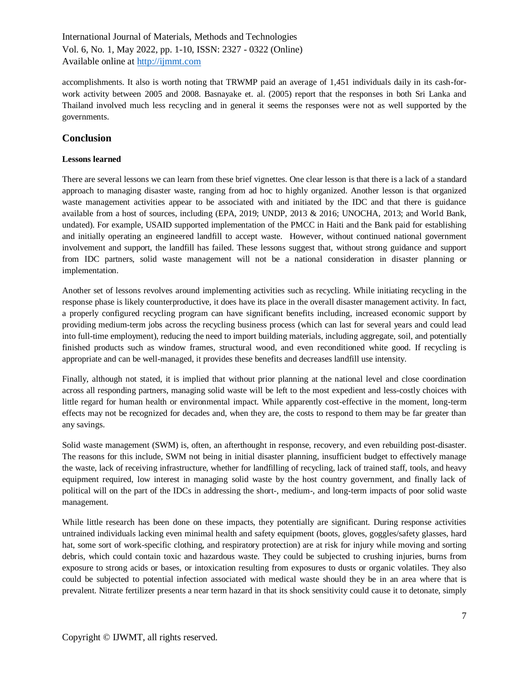accomplishments. It also is worth noting that TRWMP paid an average of 1,451 individuals daily in its cash-forwork activity between 2005 and 2008. Basnayake et. al. (2005) report that the responses in both Sri Lanka and Thailand involved much less recycling and in general it seems the responses were not as well supported by the governments.

# **Conclusion**

#### **Lessons learned**

There are several lessons we can learn from these brief vignettes. One clear lesson is that there is a lack of a standard approach to managing disaster waste, ranging from ad hoc to highly organized. Another lesson is that organized waste management activities appear to be associated with and initiated by the IDC and that there is guidance available from a host of sources, including (EPA, 2019; UNDP, 2013 & 2016; UNOCHA, 2013; and World Bank, undated). For example, USAID supported implementation of the PMCC in Haiti and the Bank paid for establishing and initially operating an engineered landfill to accept waste. However, without continued national government involvement and support, the landfill has failed. These lessons suggest that, without strong guidance and support from IDC partners, solid waste management will not be a national consideration in disaster planning or implementation.

Another set of lessons revolves around implementing activities such as recycling. While initiating recycling in the response phase is likely counterproductive, it does have its place in the overall disaster management activity. In fact, a properly configured recycling program can have significant benefits including, increased economic support by providing medium-term jobs across the recycling business process (which can last for several years and could lead into full-time employment), reducing the need to import building materials, including aggregate, soil, and potentially finished products such as window frames, structural wood, and even reconditioned white good. If recycling is appropriate and can be well-managed, it provides these benefits and decreases landfill use intensity.

Finally, although not stated, it is implied that without prior planning at the national level and close coordination across all responding partners, managing solid waste will be left to the most expedient and less-costly choices with little regard for human health or environmental impact. While apparently cost-effective in the moment, long-term effects may not be recognized for decades and, when they are, the costs to respond to them may be far greater than any savings.

Solid waste management (SWM) is, often, an afterthought in response, recovery, and even rebuilding post-disaster. The reasons for this include, SWM not being in initial disaster planning, insufficient budget to effectively manage the waste, lack of receiving infrastructure, whether for landfilling of recycling, lack of trained staff, tools, and heavy equipment required, low interest in managing solid waste by the host country government, and finally lack of political will on the part of the IDCs in addressing the short-, medium-, and long-term impacts of poor solid waste management.

While little research has been done on these impacts, they potentially are significant. During response activities untrained individuals lacking even minimal health and safety equipment (boots, gloves, goggles/safety glasses, hard hat, some sort of work-specific clothing, and respiratory protection) are at risk for injury while moving and sorting debris, which could contain toxic and hazardous waste. They could be subjected to crushing injuries, burns from exposure to strong acids or bases, or intoxication resulting from exposures to dusts or organic volatiles. They also could be subjected to potential infection associated with medical waste should they be in an area where that is prevalent. Nitrate fertilizer presents a near term hazard in that its shock sensitivity could cause it to detonate, simply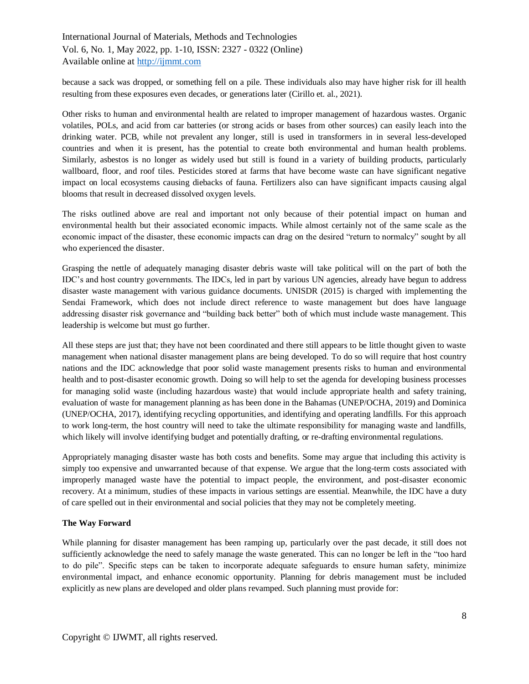because a sack was dropped, or something fell on a pile. These individuals also may have higher risk for ill health resulting from these exposures even decades, or generations later (Cirillo et. al., 2021).

Other risks to human and environmental health are related to improper management of hazardous wastes. Organic volatiles, POLs, and acid from car batteries (or strong acids or bases from other sources) can easily leach into the drinking water. PCB, while not prevalent any longer, still is used in transformers in in several less-developed countries and when it is present, has the potential to create both environmental and human health problems. Similarly, asbestos is no longer as widely used but still is found in a variety of building products, particularly wallboard, floor, and roof tiles. Pesticides stored at farms that have become waste can have significant negative impact on local ecosystems causing diebacks of fauna. Fertilizers also can have significant impacts causing algal blooms that result in decreased dissolved oxygen levels.

The risks outlined above are real and important not only because of their potential impact on human and environmental health but their associated economic impacts. While almost certainly not of the same scale as the economic impact of the disaster, these economic impacts can drag on the desired "return to normalcy" sought by all who experienced the disaster.

Grasping the nettle of adequately managing disaster debris waste will take political will on the part of both the IDC's and host country governments. The IDCs, led in part by various UN agencies, already have begun to address disaster waste management with various guidance documents. UNISDR (2015) is charged with implementing the Sendai Framework, which does not include direct reference to waste management but does have language addressing disaster risk governance and "building back better" both of which must include waste management. This leadership is welcome but must go further.

All these steps are just that; they have not been coordinated and there still appears to be little thought given to waste management when national disaster management plans are being developed. To do so will require that host country nations and the IDC acknowledge that poor solid waste management presents risks to human and environmental health and to post-disaster economic growth. Doing so will help to set the agenda for developing business processes for managing solid waste (including hazardous waste) that would include appropriate health and safety training, evaluation of waste for management planning as has been done in the Bahamas (UNEP/OCHA, 2019) and Dominica (UNEP/OCHA, 2017), identifying recycling opportunities, and identifying and operating landfills. For this approach to work long-term, the host country will need to take the ultimate responsibility for managing waste and landfills, which likely will involve identifying budget and potentially drafting, or re-drafting environmental regulations.

Appropriately managing disaster waste has both costs and benefits. Some may argue that including this activity is simply too expensive and unwarranted because of that expense. We argue that the long-term costs associated with improperly managed waste have the potential to impact people, the environment, and post-disaster economic recovery. At a minimum, studies of these impacts in various settings are essential. Meanwhile, the IDC have a duty of care spelled out in their environmental and social policies that they may not be completely meeting.

## **The Way Forward**

While planning for disaster management has been ramping up, particularly over the past decade, it still does not sufficiently acknowledge the need to safely manage the waste generated. This can no longer be left in the "too hard to do pile". Specific steps can be taken to incorporate adequate safeguards to ensure human safety, minimize environmental impact, and enhance economic opportunity. Planning for debris management must be included explicitly as new plans are developed and older plans revamped. Such planning must provide for: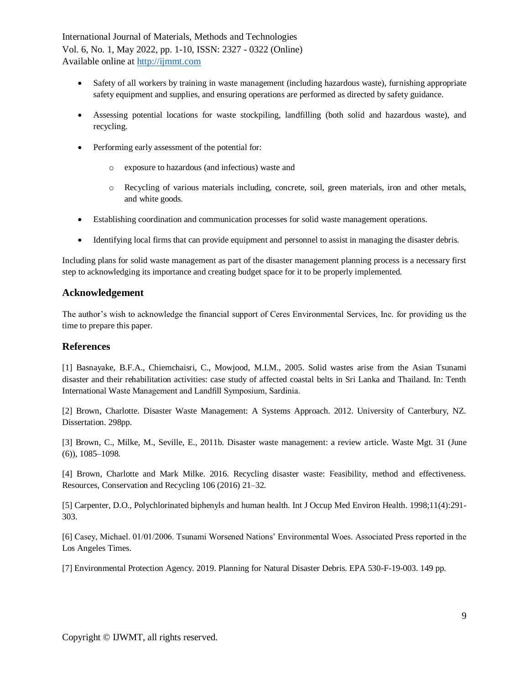- Safety of all workers by training in waste management (including hazardous waste), furnishing appropriate safety equipment and supplies, and ensuring operations are performed as directed by safety guidance.
- Assessing potential locations for waste stockpiling, landfilling (both solid and hazardous waste), and recycling.
- Performing early assessment of the potential for:
	- o exposure to hazardous (and infectious) waste and
	- o Recycling of various materials including, concrete, soil, green materials, iron and other metals, and white goods.
- Establishing coordination and communication processes for solid waste management operations.
- Identifying local firms that can provide equipment and personnel to assist in managing the disaster debris.

Including plans for solid waste management as part of the disaster management planning process is a necessary first step to acknowledging its importance and creating budget space for it to be properly implemented.

## **Acknowledgement**

The author's wish to acknowledge the financial support of Ceres Environmental Services, Inc. for providing us the time to prepare this paper.

# **References**

[1] Basnayake, B.F.A., Chiemchaisri, C., Mowjood, M.I.M., 2005. Solid wastes arise from the Asian Tsunami disaster and their rehabilitation activities: case study of affected coastal belts in Sri Lanka and Thailand. In: Tenth International Waste Management and Landfill Symposium, Sardinia.

[2] Brown, Charlotte. Disaster Waste Management: A Systems Approach. 2012. University of Canterbury, NZ. Dissertation. 298pp.

[3] Brown, C., Milke, M., Seville, E., 2011b. Disaster waste management: a review article. Waste Mgt. 31 (June (6)), 1085–1098.

[4] Brown, Charlotte and Mark Milke. 2016. Recycling disaster waste: Feasibility, method and effectiveness. Resources, Conservation and Recycling 106 (2016) 21–32.

[5] Carpenter, D.O., Polychlorinated biphenyls and human health. Int J Occup Med Environ Health. 1998;11(4):291- 303.

[6] Casey, Michael. 01/01/2006. Tsunami Worsened Nations' Environmental Woes. Associated Press reported in the Los Angeles Times.

[7] Environmental Protection Agency. 2019. Planning for Natural Disaster Debris. EPA 530-F-19-003. 149 pp.